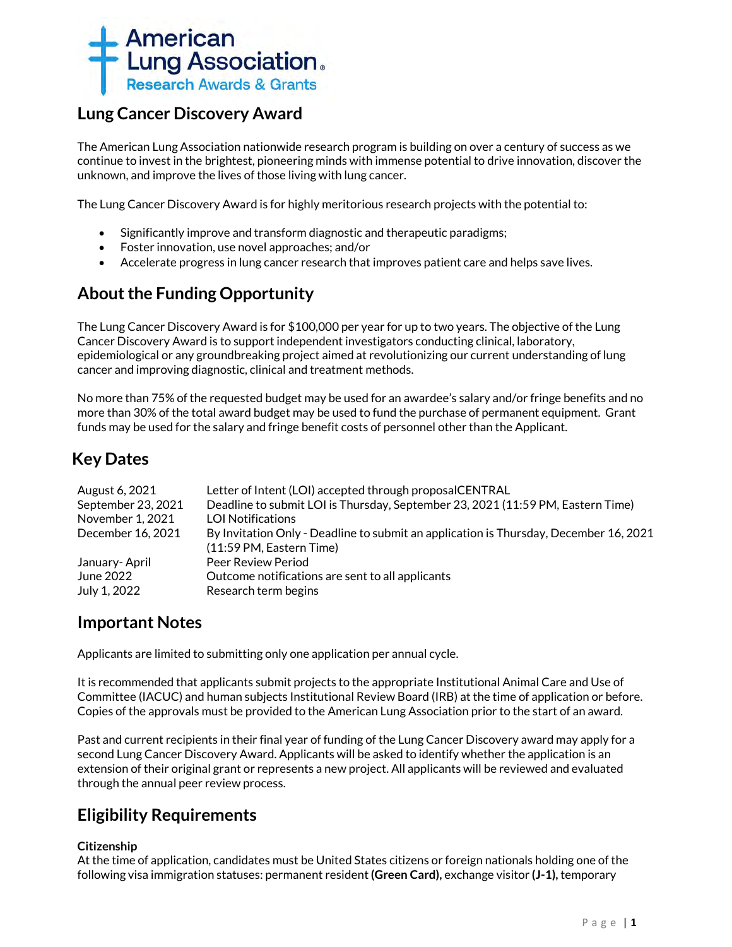

# **Lung Cancer Discovery Award**

The American Lung Association nationwide research program is building on over a century of success as we continue to invest in the brightest, pioneering minds with immense potential to drive innovation, discover the unknown, and improve the lives of those living with lung cancer.

The Lung Cancer Discovery Award is for highly meritorious research projects with the potential to:

- Significantly improve and transform diagnostic and therapeutic paradigms;
- Foster innovation, use novel approaches; and/or
- Accelerate progress in lung cancer research that improves patient care and helps save lives.

# **About the Funding Opportunity**

The Lung Cancer Discovery Award is for \$100,000 per year for up to two years. The objective of the Lung Cancer Discovery Award is to support independent investigators conducting clinical, laboratory, epidemiological or any groundbreaking project aimed at revolutionizing our current understanding of lung cancer and improving diagnostic, clinical and treatment methods.

No more than 75% of the requested budget may be used for an awardee's salary and/or fringe benefits and no more than 30% of the total award budget may be used to fund the purchase of permanent equipment. Grant funds may be used for the salary and fringe benefit costs of personnel other than the Applicant.

# **Key Dates**

| Letter of Intent (LOI) accepted through proposalCENTRAL                               |
|---------------------------------------------------------------------------------------|
| Deadline to submit LOI is Thursday, September 23, 2021 (11:59 PM, Eastern Time)       |
| <b>LOI Notifications</b>                                                              |
| By Invitation Only - Deadline to submit an application is Thursday, December 16, 2021 |
| (11:59 PM, Eastern Time)                                                              |
| Peer Review Period                                                                    |
| Outcome notifications are sent to all applicants                                      |
| Research term begins                                                                  |
|                                                                                       |

## **Important Notes**

Applicants are limited to submitting only one application per annual cycle.

It is recommended that applicants submit projects to the appropriate Institutional Animal Care and Use of Committee (IACUC) and human subjects Institutional Review Board (IRB) at the time of application or before. Copies of the approvals must be provided to the American Lung Association prior to the start of an award.

Past and current recipients in their final year of funding of the Lung Cancer Discovery award may apply for a second Lung Cancer Discovery Award. Applicants will be asked to identify whether the application is an extension of their original grant or represents a new project. All applicants will be reviewed and evaluated through the annual peer review process.

# **Eligibility Requirements**

## **Citizenship**

At the time of application, candidates must be United States citizens or foreign nationals holding one of the following visa immigration statuses: permanent resident **(Green Card),** exchange visitor **(J-1),** temporary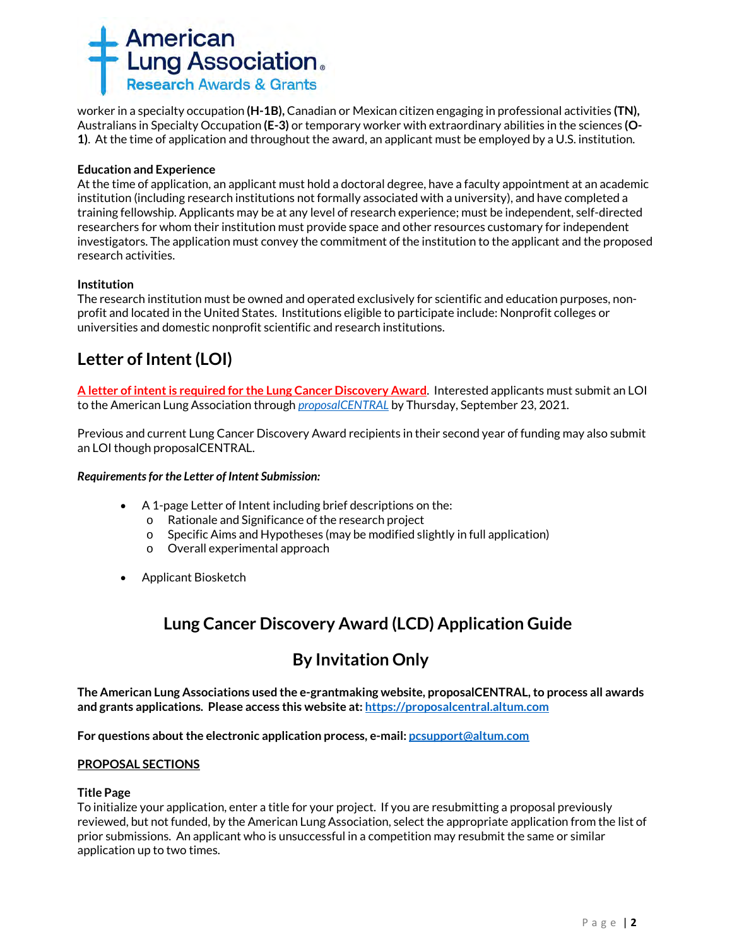

worker in a specialty occupation **(H-1B),** Canadian or Mexican citizen engaging in professional activities **(TN),** Australians in Specialty Occupation **(E-3)** or temporary worker with extraordinary abilities in the sciences **(O-1)**. At the time of application and throughout the award, an applicant must be employed by a U.S. institution.

#### **Education and Experience**

At the time of application, an applicant must hold a doctoral degree, have a faculty appointment at an academic institution (including research institutions not formally associated with a university), and have completed a training fellowship. Applicants may be at any level of research experience; must be independent, self-directed researchers for whom their institution must provide space and other resources customary for independent investigators. The application must convey the commitment of the institution to the applicant and the proposed research activities.

### **Institution**

The research institution must be owned and operated exclusively for scientific and education purposes, nonprofit and located in the United States. Institutions eligible to participate include: Nonprofit colleges or universities and domestic nonprofit scientific and research institutions.

# **Letter of Intent (LOI)**

**A letter of intent is required for the Lung Cancer Discovery Award**. Interested applicants must submit an LOI to the American Lung Association through *[proposalCENTRAL](https://proposalcentral.altum.com/)* by Thursday, September 23, 2021.

Previous and current Lung Cancer Discovery Award recipients in their second year of funding may also submit an LOI though proposalCENTRAL.

#### *Requirements for the Letter of Intent Submission:*

- A 1-page Letter of Intent including brief descriptions on the:
	- o Rationale and Significance of the research project
	- o Specific Aims and Hypotheses (may be modified slightly in full application)
	- o Overall experimental approach
- Applicant Biosketch

# **Lung Cancer Discovery Award (LCD) Application Guide**

# **By Invitation Only**

**The American Lung Associations used the e-grantmaking website, proposalCENTRAL, to process all awards and grants applications. Please access this website at[: https://proposalcentral.altum.com](https://proposalcentral.altum.com/)**

**For questions about the electronic application process, e-mail[: pcsupport@altum.com](mailto:PCSUPPORT@ALTUM.COM)** 

#### **PROPOSAL SECTIONS**

#### **Title Page**

To initialize your application, enter a title for your project. If you are resubmitting a proposal previously reviewed, but not funded, by the American Lung Association, select the appropriate application from the list of prior submissions. An applicant who is unsuccessful in a competition may resubmit the same or similar application up to two times.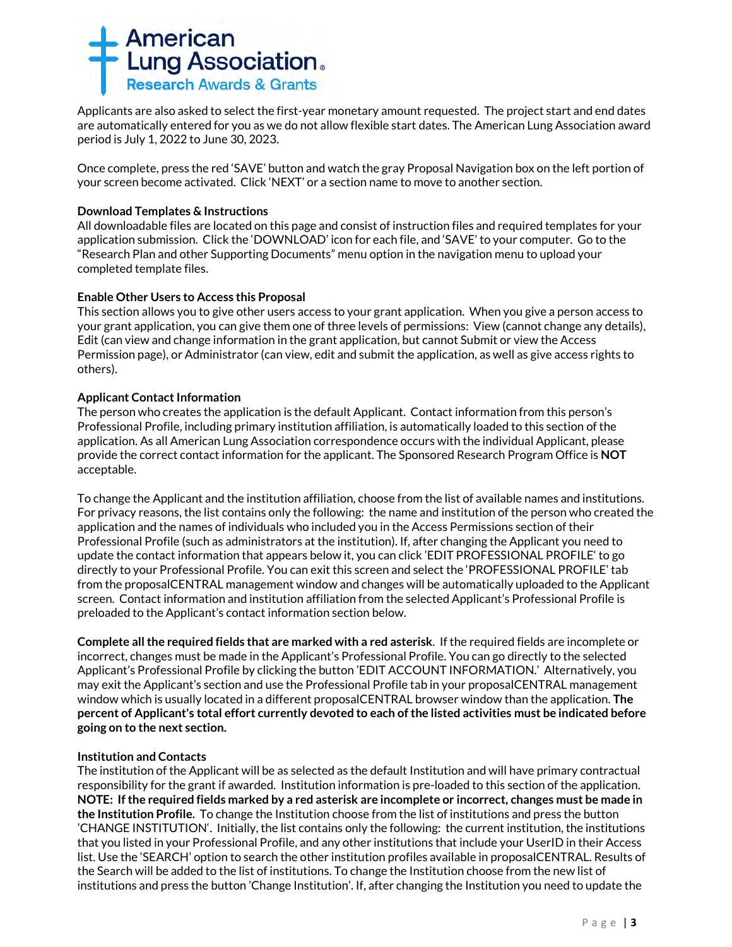

Applicants are also asked to select the first-year monetary amount requested. The project start and end dates are automatically entered for you as we do not allow flexible start dates. The American Lung Association award period is July 1, 2022 to June 30, 2023.

Once complete, press the red 'SAVE' button and watch the gray Proposal Navigation box on the left portion of your screen become activated. Click 'NEXT' or a section name to move to another section.

### **Download Templates & Instructions**

All downloadable files are located on this page and consist of instruction files and required templates for your application submission. Click the 'DOWNLOAD' icon for each file, and 'SAVE' to your computer*.* Go to the "Research Plan and other Supporting Documents" menu option in the navigation menu to upload your completed template files.

#### **Enable Other Users to Access this Proposal**

This section allows you to give other users access to your grant application. When you give a person access to your grant application, you can give them one of three levels of permissions: View (cannot change any details), Edit (can view and change information in the grant application, but cannot Submit or view the Access Permission page), or Administrator (can view, edit and submit the application, as well as give access rights to others).

### **Applicant Contact Information**

The person who creates the application is the default Applicant. Contact information from this person's Professional Profile, including primary institution affiliation, is automatically loaded to this section of the application. As all American Lung Association correspondence occurs with the individual Applicant, please provide the correct contact information for the applicant. The Sponsored Research Program Office is **NOT** acceptable.

To change the Applicant and the institution affiliation, choose from the list of available names and institutions. For privacy reasons, the list contains only the following: the name and institution of the person who created the application and the names of individuals who included you in the Access Permissions section of their Professional Profile (such as administrators at the institution). If, after changing the Applicant you need to update the contact information that appears below it, you can click 'EDIT PROFESSIONAL PROFILE' to go directly to your Professional Profile. You can exit this screen and select the 'PROFESSIONAL PROFILE' tab from the proposalCENTRAL management window and changes will be automatically uploaded to the Applicant screen. Contact information and institution affiliation from the selected Applicant's Professional Profile is preloaded to the Applicant's contact information section below.

**Complete all the required fields that are marked with a red asterisk**.If the required fields are incomplete or incorrect, changes must be made in the Applicant's Professional Profile. You can go directly to the selected Applicant's Professional Profile by clicking the button 'EDIT ACCOUNT INFORMATION.' Alternatively, you may exit the Applicant's section and use the Professional Profile tab in your proposalCENTRAL management window which is usually located in a different proposalCENTRAL browser window than the application. **The percent of Applicant's total effort currently devoted to each of the listed activities must be indicated before going on to the next section.**

#### **Institution and Contacts**

The institution of the Applicant will be as selected as the default Institution and will have primary contractual responsibility for the grant if awarded. Institution information is pre-loaded to this section of the application. **NOTE: If the required fields marked by a red asterisk are incomplete or incorrect, changes must be made in the Institution Profile.** To change the Institution choose from the list of institutions and press the button 'CHANGE INSTITUTION'. Initially, the list contains only the following: the current institution, the institutions that you listed in your Professional Profile, and any other institutions that include your UserID in their Access list. Use the 'SEARCH' option to search the other institution profiles available in proposalCENTRAL. Results of the Search will be added to the list of institutions. To change the Institution choose from the new list of institutions and press the button 'Change Institution'. If, after changing the Institution you need to update the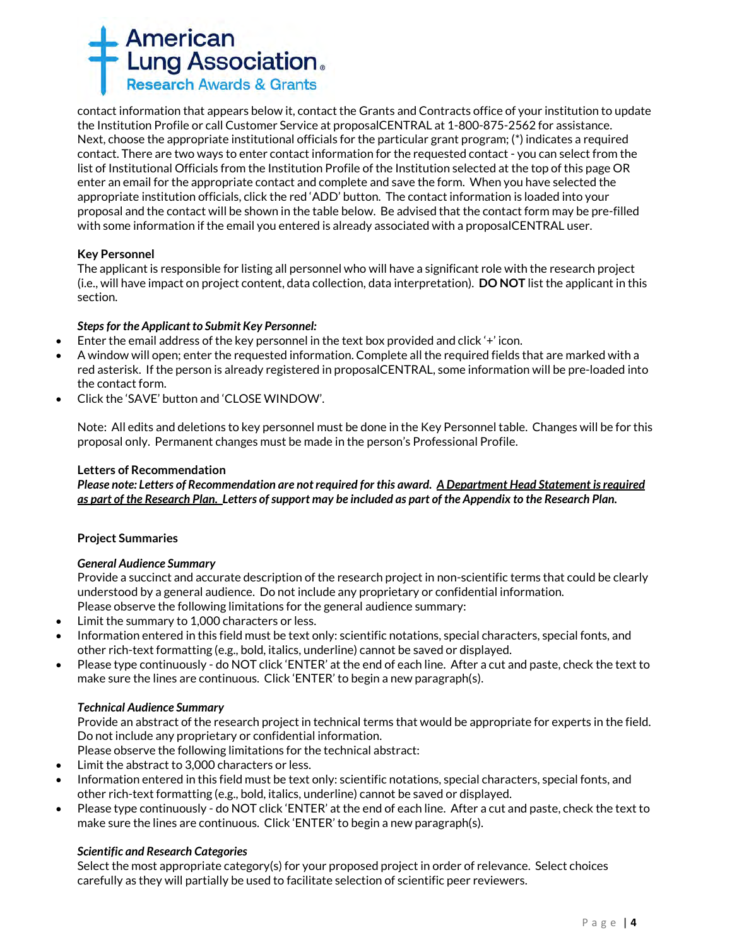

contact information that appears below it, contact the Grants and Contracts office of your institution to update the Institution Profile or call Customer Service at proposalCENTRAL at 1-800-875-2562 for assistance. Next, choose the appropriate institutional officials for the particular grant program; (\*) indicates a required contact. There are two ways to enter contact information for the requested contact - you can select from the list of Institutional Officials from the Institution Profile of the Institution selected at the top of this page OR enter an email for the appropriate contact and complete and save the form. When you have selected the appropriate institution officials, click the red 'ADD' button. The contact information is loaded into your proposal and the contact will be shown in the table below. Be advised that the contact form may be pre-filled with some information if the email you entered is already associated with a proposalCENTRAL user.

### **Key Personnel**

The applicant is responsible for listing all personnel who will have a significant role with the research project (i.e., will have impact on project content, data collection, data interpretation). **DO NOT** list the applicant in this section.

#### *Steps for the Applicant to Submit Key Personnel:*

- Enter the email address of the key personnel in the text box provided and click '+' icon.
- A window will open; enter the requested information. Complete all the required fields that are marked with a red asterisk. If the person is already registered in proposalCENTRAL, some information will be pre-loaded into the contact form.
- Click the 'SAVE' button and 'CLOSE WINDOW'.

Note: All edits and deletions to key personnel must be done in the Key Personnel table. Changes will be for this proposal only. Permanent changes must be made in the person's Professional Profile.

#### **Letters of Recommendation**

*Please note: Letters of Recommendation are not required for this award. A Department Head Statement is required as part of the Research Plan. Letters of support may be included as part of the Appendix to the Research Plan.*

#### **Project Summaries**

#### *General Audience Summary*

Provide a succinct and accurate description of the research project in non-scientific terms that could be clearly understood by a general audience. Do not include any proprietary or confidential information. Please observe the following limitations for the general audience summary:

- Limit the summary to 1,000 characters or less.
- Information entered in this field must be text only: scientific notations, special characters, special fonts, and other rich-text formatting (e.g., bold, italics, underline) cannot be saved or displayed.
- Please type continuously do NOT click 'ENTER' at the end of each line. After a cut and paste, check the text to make sure the lines are continuous. Click 'ENTER' to begin a new paragraph(s).

#### *Technical Audience Summary*

Provide an abstract of the research project in technical terms that would be appropriate for experts in the field. Do not include any proprietary or confidential information.

Please observe the following limitations for the technical abstract:

- Limit the abstract to 3,000 characters or less.
- Information entered in this field must be text only: scientific notations, special characters, special fonts, and other rich-text formatting (e.g., bold, italics, underline) cannot be saved or displayed.
- Please type continuously do NOT click 'ENTER' at the end of each line. After a cut and paste, check the text to make sure the lines are continuous. Click 'ENTER' to begin a new paragraph(s).

#### *Scientific and Research Categories*

Select the most appropriate category(s) for your proposed project in order of relevance. Select choices carefully as they will partially be used to facilitate selection of scientific peer reviewers.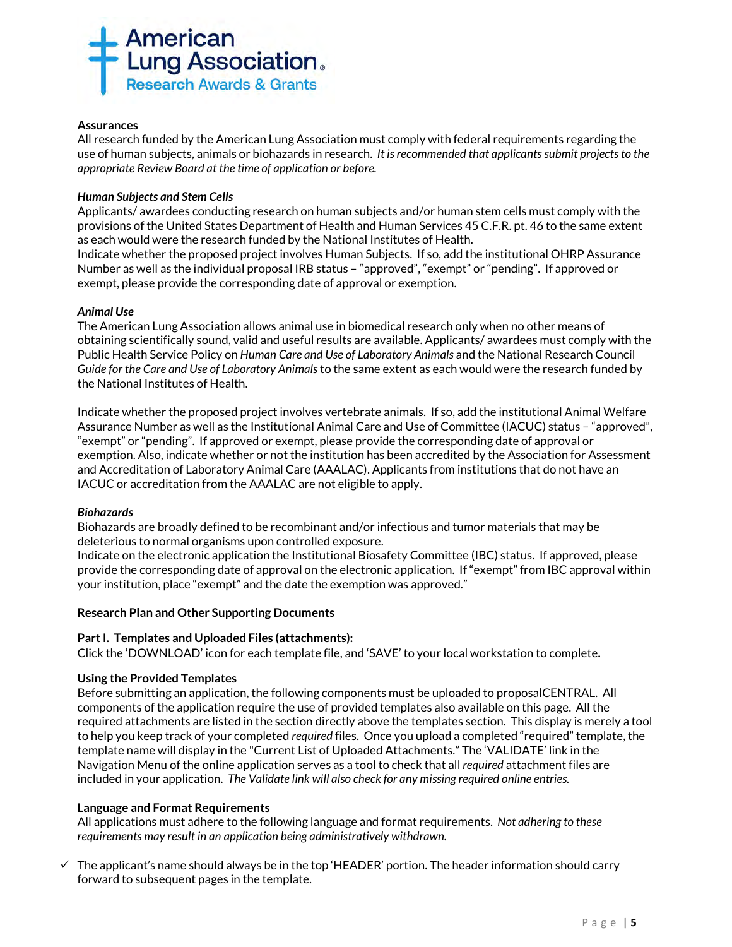

#### **Assurances**

All research funded by the American Lung Association must comply with federal requirements regarding the use of human subjects, animals or biohazards in research. *It is recommended that applicants submit projects to the appropriate Review Board at the time of application or before.* 

#### *Human Subjects and Stem Cells*

Applicants/ awardees conducting research on human subjects and/or human stem cells must comply with the provisions of the United States Department of Health and Human Services 45 C.F.R. pt. 46 to the same extent as each would were the research funded by the National Institutes of Health. Indicate whether the proposed project involves Human Subjects. If so, add the institutional OHRP Assurance

Number as well as the individual proposal IRB status – "approved", "exempt" or "pending". If approved or exempt, please provide the corresponding date of approval or exemption.

#### *Animal Use*

The American Lung Association allows animal use in biomedical research only when no other means of obtaining scientifically sound, valid and useful results are available. Applicants/ awardees must comply with the Public Health Service Policy on *Human Care and Use of Laboratory Animals* and the National Research Council *Guide for the Care and Use of Laboratory Animals* to the same extent as each would were the research funded by the National Institutes of Health.

Indicate whether the proposed project involves vertebrate animals. If so, add the institutional Animal Welfare Assurance Number as well as the Institutional Animal Care and Use of Committee (IACUC) status – "approved", "exempt" or "pending". If approved or exempt, please provide the corresponding date of approval or exemption. Also, indicate whether or not the institution has been accredited by the Association for Assessment and Accreditation of Laboratory Animal Care (AAALAC). Applicants from institutions that do not have an IACUC or accreditation from the AAALAC are not eligible to apply.

#### *Biohazards*

Biohazards are broadly defined to be recombinant and/or infectious and tumor materials that may be deleterious to normal organisms upon controlled exposure.

Indicate on the electronic application the Institutional Biosafety Committee (IBC) status. If approved, please provide the corresponding date of approval on the electronic application. If "exempt" from IBC approval within your institution, place "exempt" and the date the exemption was approved."

#### **Research Plan and Other Supporting Documents**

#### **Part I. Templates and Uploaded Files (attachments):**

Click the 'DOWNLOAD' icon for each template file, and 'SAVE' to your local workstation to complete**.**

#### **Using the Provided Templates**

Before submitting an application, the following components must be uploaded to proposalCENTRAL. All components of the application require the use of provided templates also available on this page. All the required attachments are listed in the section directly above the templates section. This display is merely a tool to help you keep track of your completed *required* files. Once you upload a completed "required" template, the template name will display in the "Current List of Uploaded Attachments." The 'VALIDATE' link in the Navigation Menu of the online application serves as a tool to check that all *required* attachment files are included in your application. *The Validate link will also check for any missing required online entries.*

#### **Language and Format Requirements**

All applications must adhere to the following language and format requirements. *Not adhering to these requirements may result in an application being administratively withdrawn.*

 $\checkmark$  The applicant's name should always be in the top 'HEADER' portion. The header information should carry forward to subsequent pages in the template.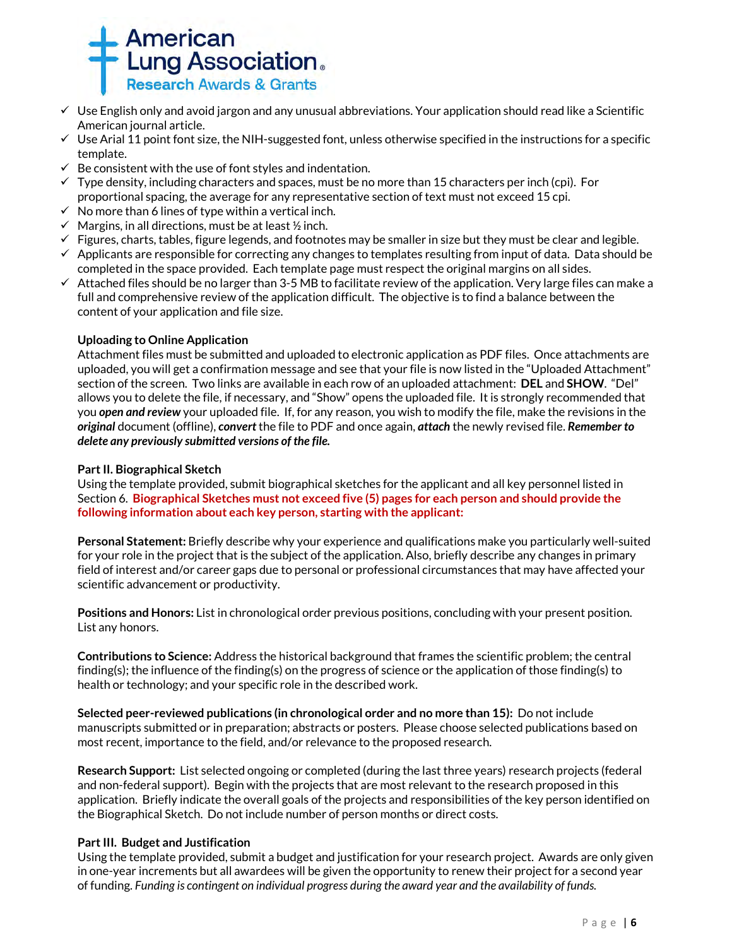

- $\checkmark$  Use English only and avoid jargon and any unusual abbreviations. Your application should read like a Scientific American journal article.
- $\checkmark$  Use Arial 11 point font size, the NIH-suggested font, unless otherwise specified in the instructions for a specific template.
- $\checkmark$  Be consistent with the use of font styles and indentation.
- $\checkmark$  Type density, including characters and spaces, must be no more than 15 characters per inch (cpi). For proportional spacing, the average for any representative section of text must not exceed 15 cpi.
- $\checkmark$  No more than 6 lines of type within a vertical inch.
- $\checkmark$  Margins, in all directions, must be at least  $\frac{1}{2}$  inch.
- $\checkmark$  Figures, charts, tables, figure legends, and footnotes may be smaller in size but they must be clear and legible.
- $\checkmark$  Applicants are responsible for correcting any changes to templates resulting from input of data. Data should be completed in the space provided. Each template page must respect the original margins on all sides.
- $\checkmark$  Attached files should be no larger than 3-5 MB to facilitate review of the application. Very large files can make a full and comprehensive review of the application difficult. The objective is to find a balance between the content of your application and file size.

### **Uploading to Online Application**

Attachment files must be submitted and uploaded to electronic application as PDF files. Once attachments are uploaded, you will get a confirmation message and see that your file is now listed in the "Uploaded Attachment" section of the screen. Two links are available in each row of an uploaded attachment: **DEL** and **SHOW**. "Del" allows you to delete the file, if necessary, and "Show" opens the uploaded file. It is strongly recommended that you *open and review* your uploaded file. If, for any reason, you wish to modify the file, make the revisions in the *original* document (offline), *convert* the file to PDF and once again, *attach* the newly revised file. *Remember to delete any previously submitted versions of the file.*

#### **Part II. Biographical Sketch**

Using the template provided, submit biographical sketches for the applicant and all key personnel listed in Section 6. **Biographical Sketches must not exceed five (5) pages for each person and should provide the following information about each key person, starting with the applicant:**

**Personal Statement:** Briefly describe why your experience and qualifications make you particularly well-suited for your role in the project that is the subject of the application. Also, briefly describe any changes in primary field of interest and/or career gaps due to personal or professional circumstances that may have affected your scientific advancement or productivity.

**Positions and Honors:** List in chronological order previous positions, concluding with your present position. List any honors.

**Contributions to Science:** Address the historical background that frames the scientific problem; the central finding(s); the influence of the finding(s) on the progress of science or the application of those finding(s) to health or technology; and your specific role in the described work.

**Selected peer-reviewed publications (in chronological order and no more than 15):** Do not include manuscripts submitted or in preparation; abstracts or posters. Please choose selected publications based on most recent, importance to the field, and/or relevance to the proposed research.

**Research Support:** List selected ongoing or completed (during the last three years) research projects (federal and non-federal support). Begin with the projects that are most relevant to the research proposed in this application. Briefly indicate the overall goals of the projects and responsibilities of the key person identified on the Biographical Sketch. Do not include number of person months or direct costs.

## **Part III. Budget and Justification**

Using the template provided, submit a budget and justification for your research project. Awards are only given in one-year increments but all awardees will be given the opportunity to renew their project for a second year of funding. *Funding is contingent on individual progress during the award year and the availability of funds.*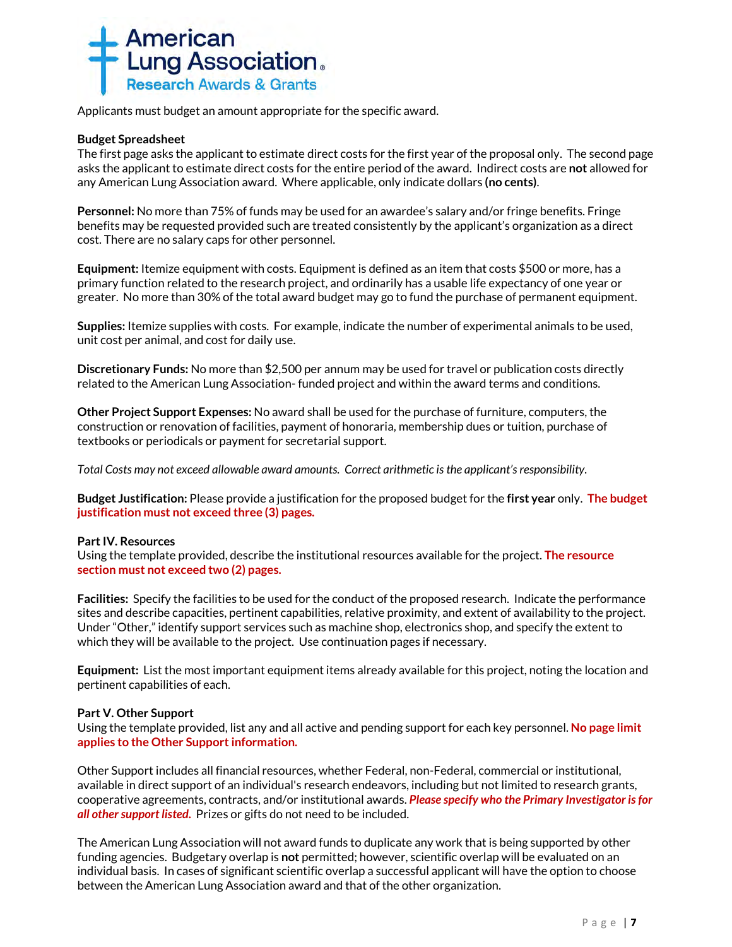

Applicants must budget an amount appropriate for the specific award.

#### **Budget Spreadsheet**

The first page asks the applicant to estimate direct costs for the first year of the proposal only. The second page asks the applicant to estimate direct costs for the entire period of the award. Indirect costs are **not** allowed for any American Lung Association award. Where applicable, only indicate dollars **(no cents)**.

**Personnel:** No more than 75% of funds may be used for an awardee's salary and/or fringe benefits. Fringe benefits may be requested provided such are treated consistently by the applicant's organization as a direct cost. There are no salary caps for other personnel.

**Equipment:** Itemize equipment with costs. Equipment is defined as an item that costs \$500 or more, has a primary function related to the research project, and ordinarily has a usable life expectancy of one year or greater. No more than 30% of the total award budget may go to fund the purchase of permanent equipment.

**Supplies:** Itemize supplies with costs. For example, indicate the number of experimental animals to be used, unit cost per animal, and cost for daily use.

**Discretionary Funds:** No more than \$2,500 per annum may be used for travel or publication costs directly related to the American Lung Association- funded project and within the award terms and conditions.

**Other Project Support Expenses:** No award shall be used for the purchase of furniture, computers, the construction or renovation of facilities, payment of honoraria, membership dues or tuition, purchase of textbooks or periodicals or payment for secretarial support.

*Total Costs may not exceed allowable award amounts. Correct arithmetic is the applicant's responsibility.*

**Budget Justification:** Please provide a justification for the proposed budget for the **first year** only. **The budget justification must not exceed three (3) pages.** 

#### **Part IV. Resources**

Using the template provided, describe the institutional resources available for the project. **The resource section must not exceed two (2) pages.**

**Facilities:** Specify the facilities to be used for the conduct of the proposed research. Indicate the performance sites and describe capacities, pertinent capabilities, relative proximity, and extent of availability to the project. Under "Other," identify support services such as machine shop, electronics shop, and specify the extent to which they will be available to the project. Use continuation pages if necessary.

**Equipment:** List the most important equipment items already available for this project, noting the location and pertinent capabilities of each.

#### **Part V. Other Support**

Using the template provided, list any and all active and pending support for each key personnel. **No page limit applies to the Other Support information.**

Other Support includes all financial resources, whether Federal, non-Federal, commercial or institutional, available in direct support of an individual's research endeavors, including but not limited to research grants, cooperative agreements, contracts, and/or institutional awards. *Please specify who the Primary Investigator is for all other support listed.* Prizes or gifts do not need to be included.

The American Lung Association will not award funds to duplicate any work that is being supported by other funding agencies. Budgetary overlap is **not** permitted; however, scientific overlap will be evaluated on an individual basis. In cases of significant scientific overlap a successful applicant will have the option to choose between the American Lung Association award and that of the other organization.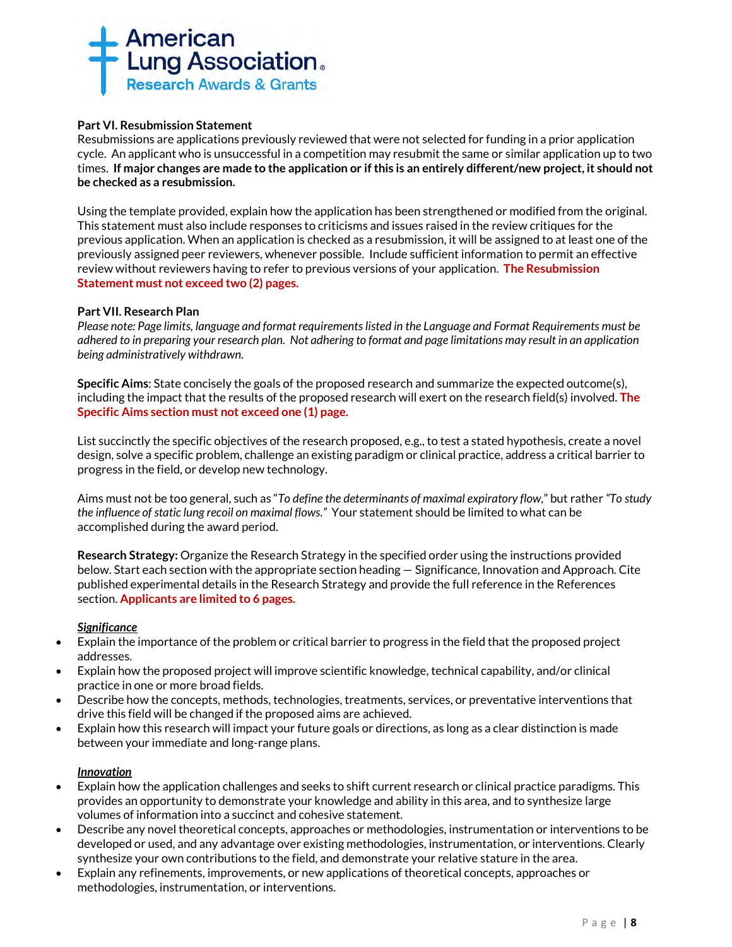

### **Part VI. Resubmission Statement**

Resubmissions are applications previously reviewed that were not selected for funding in a prior application cycle. An applicant who is unsuccessful in a competition may resubmit the same or similar application up to two times. **If major changes are made to the application or if this is an entirely different/new project, it should not be checked as a resubmission.**

Using the template provided, explain how the application has been strengthened or modified from the original. This statement must also include responses to criticisms and issues raised in the review critiques for the previous application. When an application is checked as a resubmission, it will be assigned to at least one of the previously assigned peer reviewers, whenever possible. Include sufficient information to permit an effective review without reviewers having to refer to previous versions of your application. **The Resubmission Statement must not exceed two (2) pages.**

### **Part VII. Research Plan**

*Please note: Page limits, language and format requirements listed in the Language and Format Requirements must be adhered to in preparing your research plan. Not adhering to format and page limitations may result in an application being administratively withdrawn.*

**Specific Aims**: State concisely the goals of the proposed research and summarize the expected outcome(s), including the impact that the results of the proposed research will exert on the research field(s) involved. **The Specific Aims section must not exceed one (1) page.**

List succinctly the specific objectives of the research proposed, e.g., to test a stated hypothesis, create a novel design, solve a specific problem, challenge an existing paradigm or clinical practice, address a critical barrier to progress in the field, or develop new technology.

Aims must not be too general, such as "*To define the determinants of maximal expiratory flow*," but rather *"To study the influence of static lung recoil on maximal flows."* Your statement should be limited to what can be accomplished during the award period.

**Research Strategy:** Organize the Research Strategy in the specified order using the instructions provided below. Start each section with the appropriate section heading — Significance, Innovation and Approach. Cite published experimental details in the Research Strategy and provide the full reference in the References section. **Applicants are limited to 6 pages.**

#### *Significance*

- Explain the importance of the problem or critical barrier to progress in the field that the proposed project addresses.
- Explain how the proposed project will improve scientific knowledge, technical capability, and/or clinical practice in one or more broad fields.
- Describe how the concepts, methods, technologies, treatments, services, or preventative interventions that drive this field will be changed if the proposed aims are achieved.
- Explain how this research will impact your future goals or directions, as long as a clear distinction is made between your immediate and long-range plans.

#### *Innovation*

- Explain how the application challenges and seeks to shift current research or clinical practice paradigms. This provides an opportunity to demonstrate your knowledge and ability in this area, and to synthesize large volumes of information into a succinct and cohesive statement.
- Describe any novel theoretical concepts, approaches or methodologies, instrumentation or interventions to be developed or used, and any advantage over existing methodologies, instrumentation, or interventions. Clearly synthesize your own contributions to the field, and demonstrate your relative stature in the area.
- Explain any refinements, improvements, or new applications of theoretical concepts, approaches or methodologies, instrumentation, or interventions.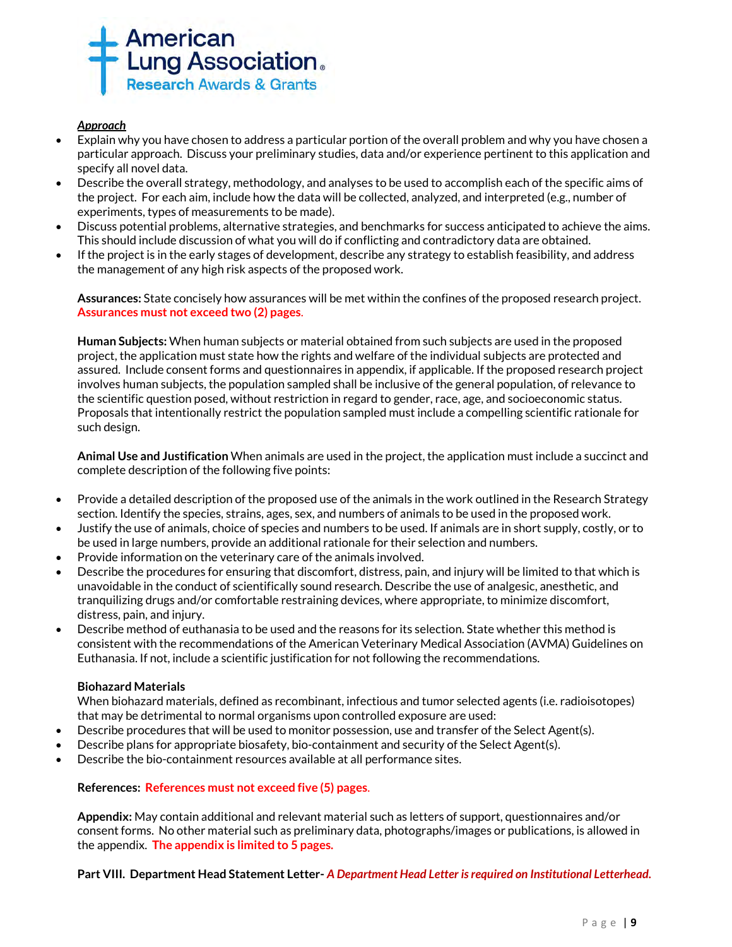

## *Approach*

- Explain why you have chosen to address a particular portion of the overall problem and why you have chosen a particular approach. Discuss your preliminary studies, data and/or experience pertinent to this application and specify all novel data.
- Describe the overall strategy, methodology, and analyses to be used to accomplish each of the specific aims of the project. For each aim, include how the data will be collected, analyzed, and interpreted (e.g., number of experiments, types of measurements to be made).
- Discuss potential problems, alternative strategies, and benchmarks for success anticipated to achieve the aims. This should include discussion of what you will do if conflicting and contradictory data are obtained.
- If the project is in the early stages of development, describe any strategy to establish feasibility, and address the management of any high risk aspects of the proposed work.

**Assurances:** State concisely how assurances will be met within the confines of the proposed research project. **Assurances must not exceed two (2) pages**.

**Human Subjects:** When human subjects or material obtained from such subjects are used in the proposed project, the application must state how the rights and welfare of the individual subjects are protected and assured. Include consent forms and questionnaires in appendix, if applicable. If the proposed research project involves human subjects, the population sampled shall be inclusive of the general population, of relevance to the scientific question posed, without restriction in regard to gender, race, age, and socioeconomic status. Proposals that intentionally restrict the population sampled must include a compelling scientific rationale for such design.

**Animal Use and Justification** When animals are used in the project, the application must include a succinct and complete description of the following five points:

- Provide a detailed description of the proposed use of the animals in the work outlined in the Research Strategy section. Identify the species, strains, ages, sex, and numbers of animals to be used in the proposed work.
- Justify the use of animals, choice of species and numbers to be used. If animals are in short supply, costly, or to be used in large numbers, provide an additional rationale for their selection and numbers.
- Provide information on the veterinary care of the animals involved.
- Describe the procedures for ensuring that discomfort, distress, pain, and injury will be limited to that which is unavoidable in the conduct of scientifically sound research. Describe the use of analgesic, anesthetic, and tranquilizing drugs and/or comfortable restraining devices, where appropriate, to minimize discomfort, distress, pain, and injury.
- Describe method of euthanasia to be used and the reasons for its selection. State whether this method is consistent with the recommendations of the American Veterinary Medical Association (AVMA) Guidelines on Euthanasia. If not, include a scientific justification for not following the recommendations.

#### **Biohazard Materials**

When biohazard materials, defined as recombinant, infectious and tumor selected agents (i.e. radioisotopes) that may be detrimental to normal organisms upon controlled exposure are used:

- Describe procedures that will be used to monitor possession, use and transfer of the Select Agent(s).
- Describe plans for appropriate biosafety, bio-containment and security of the Select Agent(s).
- Describe the bio-containment resources available at all performance sites.

#### **References: References must not exceed five (5) pages**.

**Appendix:** May contain additional and relevant material such as letters of support, questionnaires and/or consent forms. No other material such as preliminary data, photographs/images or publications, is allowed in the appendix. **The appendix is limited to 5 pages.**

#### **Part VIII. Department Head Statement Letter-** *A Department Head Letter is required on Institutional Letterhead.*